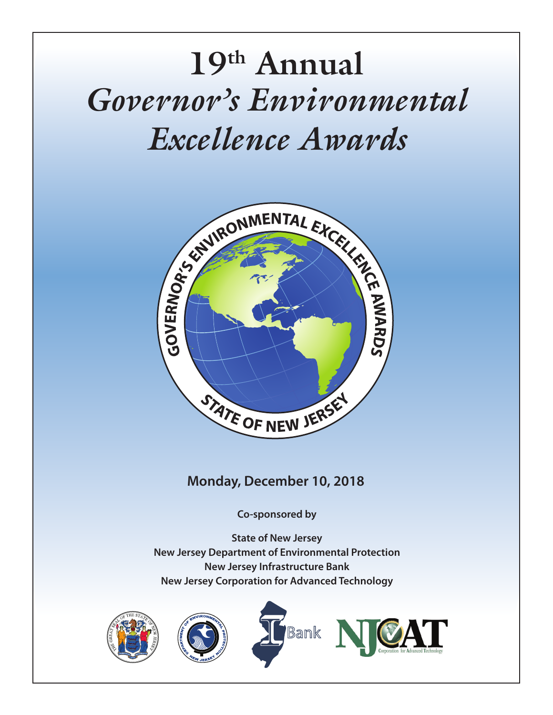# *Governor's Environmental Excellence Awards* **19th Annual**



# **Monday, December 10, 2018**

**Co-sponsored by**

**State of New Jersey New Jersey Department of Environmental Protection New Jersey Infrastructure Bank New Jersey Corporation for Advanced Technology**







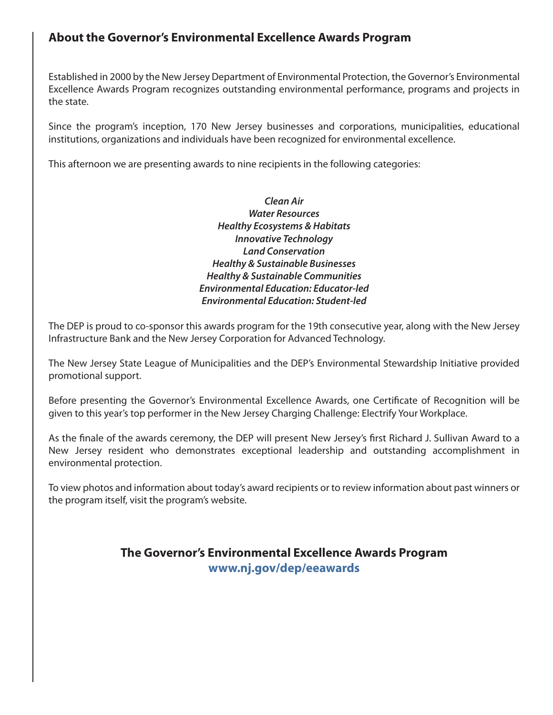## **About the Governor's Environmental Excellence Awards Program**

Established in 2000 by the New Jersey Department of Environmental Protection, the Governor's Environmental Excellence Awards Program recognizes outstanding environmental performance, programs and projects in the state.

Since the program's inception, 170 New Jersey businesses and corporations, municipalities, educational institutions, organizations and individuals have been recognized for environmental excellence.

This afternoon we are presenting awards to nine recipients in the following categories:

*Clean Air Water Resources Healthy Ecosystems & Habitats Innovative Technology Land Conservation Healthy & Sustainable Businesses Healthy & Sustainable Communities Environmental Education: Educator-led Environmental Education: Student-led*

The DEP is proud to co-sponsor this awards program for the 19th consecutive year, along with the New Jersey Infrastructure Bank and the New Jersey Corporation for Advanced Technology.

The New Jersey State League of Municipalities and the DEP's Environmental Stewardship Initiative provided promotional support.

Before presenting the Governor's Environmental Excellence Awards, one Certificate of Recognition will be given to this year's top performer in the New Jersey Charging Challenge: Electrify Your Workplace.

As the finale of the awards ceremony, the DEP will present New Jersey's first Richard J. Sullivan Award to a New Jersey resident who demonstrates exceptional leadership and outstanding accomplishment in environmental protection.

To view photos and information about today's award recipients or to review information about past winners or the program itself, visit the program's website.

## **The Governor's Environmental Excellence Awards Program www.nj.gov/dep/eeawards**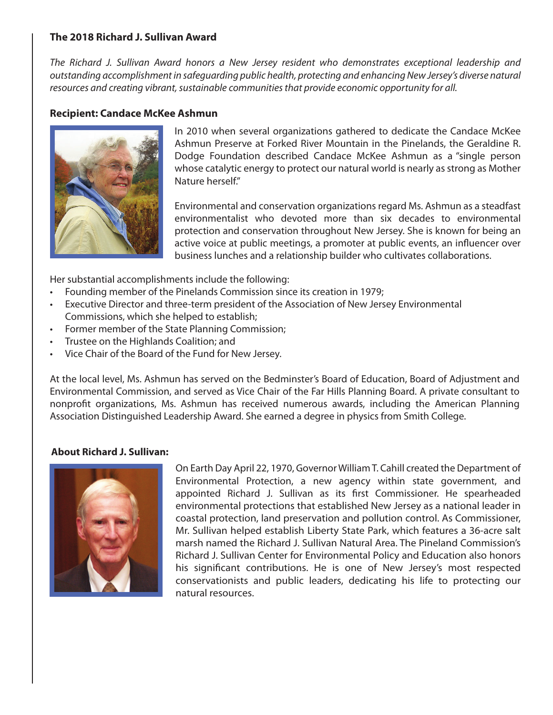#### **The 2018 Richard J. Sullivan Award**

*The Richard J. Sullivan Award honors a New Jersey resident who demonstrates exceptional leadership and outstanding accomplishment in safeguarding public health, protecting and enhancing New Jersey's diverse natural resources and creating vibrant, sustainable communities that provide economic opportunity for all.*

#### **Recipient: Candace McKee Ashmun**



In 2010 when several organizations gathered to dedicate the Candace McKee Ashmun Preserve at Forked River Mountain in the Pinelands, the Geraldine R. Dodge Foundation described Candace McKee Ashmun as a "single person whose catalytic energy to protect our natural world is nearly as strong as Mother Nature herself."

Environmental and conservation organizations regard Ms. Ashmun as a steadfast environmentalist who devoted more than six decades to environmental protection and conservation throughout New Jersey. She is known for being an active voice at public meetings, a promoter at public events, an influencer over business lunches and a relationship builder who cultivates collaborations.

Her substantial accomplishments include the following:

- Founding member of the Pinelands Commission since its creation in 1979;
- Executive Director and three-term president of the Association of New Jersey Environmental Commissions, which she helped to establish;
- Former member of the State Planning Commission;
- Trustee on the Highlands Coalition; and
- Vice Chair of the Board of the Fund for New Jersey.

At the local level, Ms. Ashmun has served on the Bedminster's Board of Education, Board of Adjustment and Environmental Commission, and served as Vice Chair of the Far Hills Planning Board. A private consultant to nonprofit organizations, Ms. Ashmun has received numerous awards, including the American Planning Association Distinguished Leadership Award. She earned a degree in physics from Smith College.

#### **About Richard J. Sullivan:**



On Earth Day April 22, 1970, Governor William T. Cahill created the Department of Environmental Protection, a new agency within state government, and appointed Richard J. Sullivan as its first Commissioner. He spearheaded environmental protections that established New Jersey as a national leader in coastal protection, land preservation and pollution control. As Commissioner, Mr. Sullivan helped establish Liberty State Park, which features a 36-acre salt marsh named the Richard J. Sullivan Natural Area. The Pineland Commission's Richard J. Sullivan Center for Environmental Policy and Education also honors his significant contributions. He is one of New Jersey's most respected conservationists and public leaders, dedicating his life to protecting our natural resources.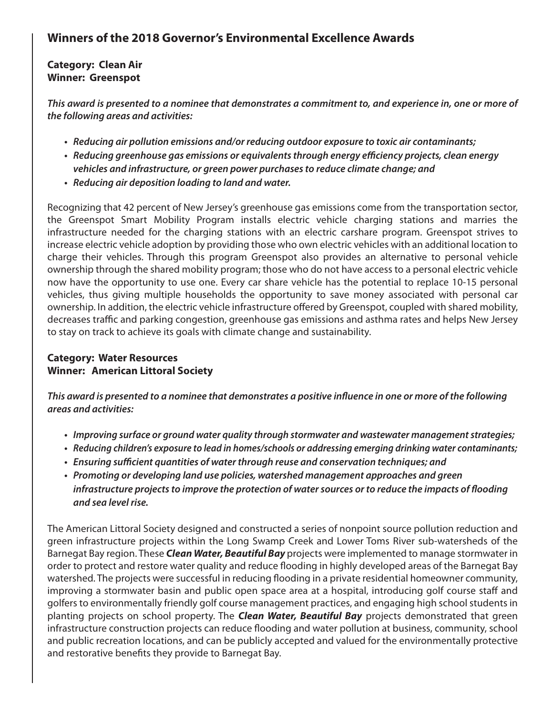# **Winners of the 2018 Governor's Environmental Excellence Awards**

#### **Category: Clean Air Winner: Greenspot**

*This award is presented to a nominee that demonstrates a commitment to, and experience in, one or more of the following areas and activities:*

- *Reducing air pollution emissions and/or reducing outdoor exposure to toxic air contaminants;*
- *Reducing greenhouse gas emissions or equivalents through energy efficiency projects, clean energy vehicles and infrastructure, or green power purchases to reduce climate change; and*
- *Reducing air deposition loading to land and water.*

Recognizing that 42 percent of New Jersey's greenhouse gas emissions come from the transportation sector, the Greenspot Smart Mobility Program installs electric vehicle charging stations and marries the infrastructure needed for the charging stations with an electric carshare program. Greenspot strives to increase electric vehicle adoption by providing those who own electric vehicles with an additional location to charge their vehicles. Through this program Greenspot also provides an alternative to personal vehicle ownership through the shared mobility program; those who do not have access to a personal electric vehicle now have the opportunity to use one. Every car share vehicle has the potential to replace 10-15 personal vehicles, thus giving multiple households the opportunity to save money associated with personal car ownership. In addition, the electric vehicle infrastructure offered by Greenspot, coupled with shared mobility, decreases traffic and parking congestion, greenhouse gas emissions and asthma rates and helps New Jersey to stay on track to achieve its goals with climate change and sustainability.

#### **Category: Water Resources Winner: American Littoral Society**

*This award is presented to a nominee that demonstrates a positive influence in one or more of the following areas and activities:*

- *Improving surface or ground water quality through stormwater and wastewater management strategies;*
- *Reducing children's exposure to lead in homes/schools or addressing emerging drinking water contaminants;*
- *Ensuring sufficient quantities of water through reuse and conservation techniques; and*
- *Promoting or developing land use policies, watershed management approaches and green infrastructure projects to improve the protection of water sources or to reduce the impacts of flooding and sea level rise.*

The American Littoral Society designed and constructed a series of nonpoint source pollution reduction and green infrastructure projects within the Long Swamp Creek and Lower Toms River sub-watersheds of the Barnegat Bay region. These *Clean Water, Beautiful Bay* projects were implemented to manage stormwater in order to protect and restore water quality and reduce flooding in highly developed areas of the Barnegat Bay watershed. The projects were successful in reducing flooding in a private residential homeowner community, improving a stormwater basin and public open space area at a hospital, introducing golf course staff and golfers to environmentally friendly golf course management practices, and engaging high school students in planting projects on school property. The *Clean Water, Beautiful Bay* projects demonstrated that green infrastructure construction projects can reduce flooding and water pollution at business, community, school and public recreation locations, and can be publicly accepted and valued for the environmentally protective and restorative benefits they provide to Barnegat Bay.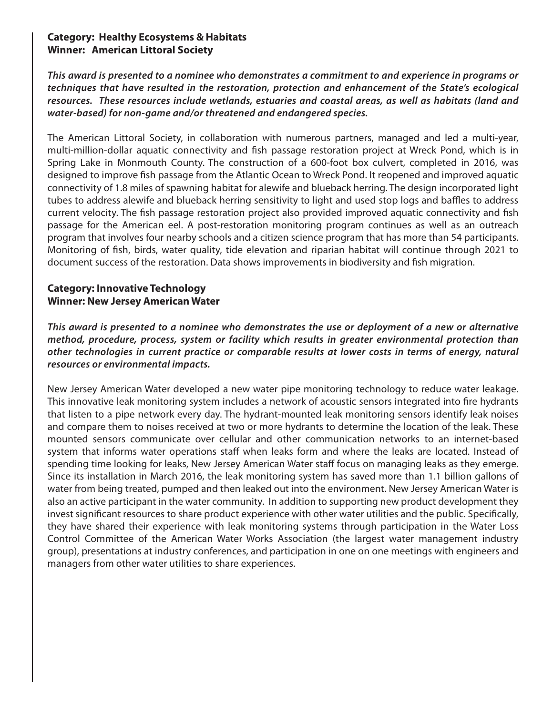#### **Category: Healthy Ecosystems & Habitats Winner: American Littoral Society**

*This award is presented to a nominee who demonstrates a commitment to and experience in programs or techniques that have resulted in the restoration, protection and enhancement of the State's ecological resources. These resources include wetlands, estuaries and coastal areas, as well as habitats (land and water-based) for non-game and/or threatened and endangered species.*

The American Littoral Society, in collaboration with numerous partners, managed and led a multi-year, multi-million-dollar aquatic connectivity and fish passage restoration project at Wreck Pond, which is in Spring Lake in Monmouth County. The construction of a 600-foot box culvert, completed in 2016, was designed to improve fish passage from the Atlantic Ocean to Wreck Pond. It reopened and improved aquatic connectivity of 1.8 miles of spawning habitat for alewife and blueback herring. The design incorporated light tubes to address alewife and blueback herring sensitivity to light and used stop logs and baffles to address current velocity. The fish passage restoration project also provided improved aquatic connectivity and fish passage for the American eel. A post-restoration monitoring program continues as well as an outreach program that involves four nearby schools and a citizen science program that has more than 54 participants. Monitoring of fish, birds, water quality, tide elevation and riparian habitat will continue through 2021 to document success of the restoration. Data shows improvements in biodiversity and fish migration.

#### **Category: Innovative Technology Winner: New Jersey American Water**

*This award is presented to a nominee who demonstrates the use or deployment of a new or alternative method, procedure, process, system or facility which results in greater environmental protection than other technologies in current practice or comparable results at lower costs in terms of energy, natural resources or environmental impacts.*

New Jersey American Water developed a new water pipe monitoring technology to reduce water leakage. This innovative leak monitoring system includes a network of acoustic sensors integrated into fire hydrants that listen to a pipe network every day. The hydrant-mounted leak monitoring sensors identify leak noises and compare them to noises received at two or more hydrants to determine the location of the leak. These mounted sensors communicate over cellular and other communication networks to an internet-based system that informs water operations staff when leaks form and where the leaks are located. Instead of spending time looking for leaks, New Jersey American Water staff focus on managing leaks as they emerge. Since its installation in March 2016, the leak monitoring system has saved more than 1.1 billion gallons of water from being treated, pumped and then leaked out into the environment. New Jersey American Water is also an active participant in the water community. In addition to supporting new product development they invest significant resources to share product experience with other water utilities and the public. Specifically, they have shared their experience with leak monitoring systems through participation in the Water Loss Control Committee of the American Water Works Association (the largest water management industry group), presentations at industry conferences, and participation in one on one meetings with engineers and managers from other water utilities to share experiences.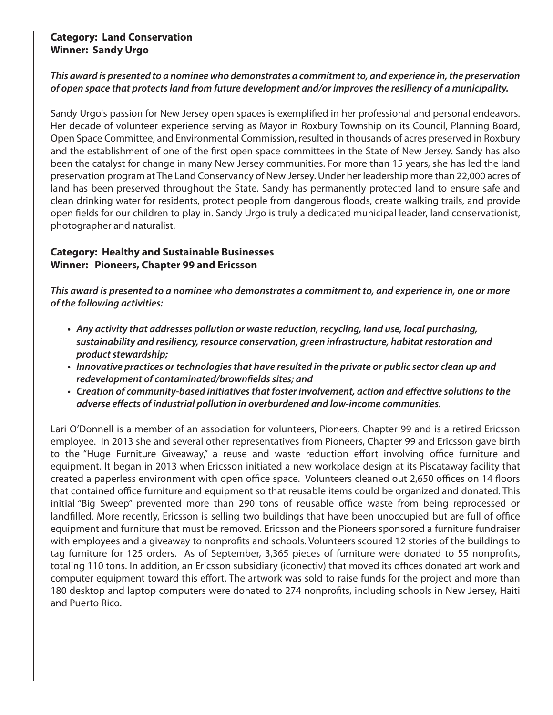#### **Category: Land Conservation Winner: Sandy Urgo**

#### *This award is presented to a nominee who demonstrates a commitment to, and experience in, the preservation of open space that protects land from future development and/or improves the resiliency of a municipality.*

Sandy Urgo's passion for New Jersey open spaces is exemplified in her professional and personal endeavors. Her decade of volunteer experience serving as Mayor in Roxbury Township on its Council, Planning Board, Open Space Committee, and Environmental Commission, resulted in thousands of acres preserved in Roxbury and the establishment of one of the first open space committees in the State of New Jersey. Sandy has also been the catalyst for change in many New Jersey communities. For more than 15 years, she has led the land preservation program at The Land Conservancy of New Jersey. Under her leadership more than 22,000 acres of land has been preserved throughout the State. Sandy has permanently protected land to ensure safe and clean drinking water for residents, protect people from dangerous floods, create walking trails, and provide open fields for our children to play in. Sandy Urgo is truly a dedicated municipal leader, land conservationist, photographer and naturalist.

#### **Category: Healthy and Sustainable Businesses Winner: Pioneers, Chapter 99 and Ericsson**

*This award is presented to a nominee who demonstrates a commitment to, and experience in, one or more of the following activities:*

- *Any activity that addresses pollution or waste reduction, recycling, land use, local purchasing, sustainability and resiliency, resource conservation, green infrastructure, habitat restoration and product stewardship;*
- *Innovative practices or technologies that have resulted in the private or public sector clean up and redevelopment of contaminated/brownfields sites; and*
- *Creation of community-based initiatives that foster involvement, action and effective solutions to the adverse effects of industrial pollution in overburdened and low-income communities.*

Lari O'Donnell is a member of an association for volunteers, Pioneers, Chapter 99 and is a retired Ericsson employee. In 2013 she and several other representatives from Pioneers, Chapter 99 and Ericsson gave birth to the "Huge Furniture Giveaway," a reuse and waste reduction effort involving office furniture and equipment. It began in 2013 when Ericsson initiated a new workplace design at its Piscataway facility that created a paperless environment with open office space. Volunteers cleaned out 2,650 offices on 14 floors that contained office furniture and equipment so that reusable items could be organized and donated. This initial "Big Sweep" prevented more than 290 tons of reusable office waste from being reprocessed or landfilled. More recently, Ericsson is selling two buildings that have been unoccupied but are full of office equipment and furniture that must be removed. Ericsson and the Pioneers sponsored a furniture fundraiser with employees and a giveaway to nonprofits and schools. Volunteers scoured 12 stories of the buildings to tag furniture for 125 orders. As of September, 3,365 pieces of furniture were donated to 55 nonprofits, totaling 110 tons. In addition, an Ericsson subsidiary (iconectiv) that moved its offices donated art work and computer equipment toward this effort. The artwork was sold to raise funds for the project and more than 180 desktop and laptop computers were donated to 274 nonprofits, including schools in New Jersey, Haiti and Puerto Rico.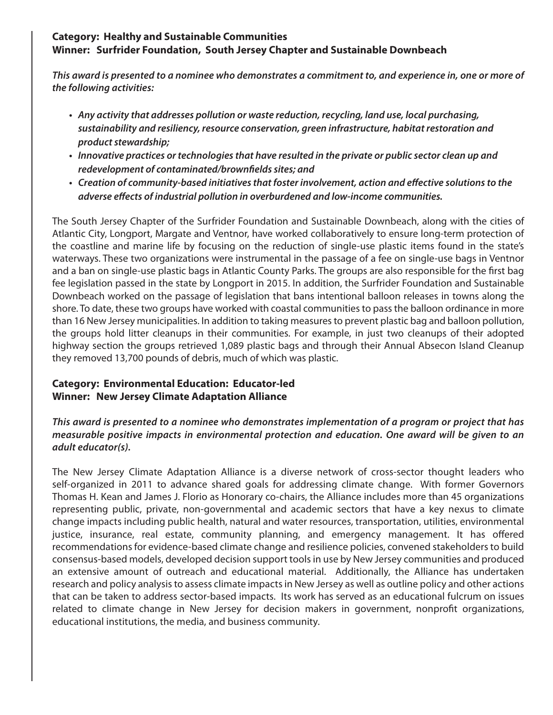#### **Category: Healthy and Sustainable Communities Winner: Surfrider Foundation, South Jersey Chapter and Sustainable Downbeach**

*This award is presented to a nominee who demonstrates a commitment to, and experience in, one or more of the following activities:*

- *Any activity that addresses pollution or waste reduction, recycling, land use, local purchasing, sustainability and resiliency, resource conservation, green infrastructure, habitat restoration and product stewardship;*
- *Innovative practices or technologies that have resulted in the private or public sector clean up and redevelopment of contaminated/brownfields sites; and*
- *Creation of community-based initiatives that foster involvement, action and effective solutions to the adverse effects of industrial pollution in overburdened and low-income communities.*

The South Jersey Chapter of the Surfrider Foundation and Sustainable Downbeach, along with the cities of Atlantic City, Longport, Margate and Ventnor, have worked collaboratively to ensure long-term protection of the coastline and marine life by focusing on the reduction of single-use plastic items found in the state's waterways. These two organizations were instrumental in the passage of a fee on single-use bags in Ventnor and a ban on single-use plastic bags in Atlantic County Parks. The groups are also responsible for the first bag fee legislation passed in the state by Longport in 2015. In addition, the Surfrider Foundation and Sustainable Downbeach worked on the passage of legislation that bans intentional balloon releases in towns along the shore. To date, these two groups have worked with coastal communities to pass the balloon ordinance in more than 16 New Jersey municipalities. In addition to taking measures to prevent plastic bag and balloon pollution, the groups hold litter cleanups in their communities. For example, in just two cleanups of their adopted highway section the groups retrieved 1,089 plastic bags and through their Annual Absecon Island Cleanup they removed 13,700 pounds of debris, much of which was plastic.

#### **Category: Environmental Education: Educator-led Winner: New Jersey Climate Adaptation Alliance**

*This award is presented to a nominee who demonstrates implementation of a program or project that has measurable positive impacts in environmental protection and education. One award will be given to an adult educator(s).*

The New Jersey Climate Adaptation Alliance is a diverse network of cross-sector thought leaders who self-organized in 2011 to advance shared goals for addressing climate change. With former Governors Thomas H. Kean and James J. Florio as Honorary co-chairs, the Alliance includes more than 45 organizations representing public, private, non-governmental and academic sectors that have a key nexus to climate change impacts including public health, natural and water resources, transportation, utilities, environmental justice, insurance, real estate, community planning, and emergency management. It has offered recommendations for evidence-based climate change and resilience policies, convened stakeholders to build consensus-based models, developed decision support tools in use by New Jersey communities and produced an extensive amount of outreach and educational material. Additionally, the Alliance has undertaken research and policy analysis to assess climate impacts in New Jersey as well as outline policy and other actions that can be taken to address sector-based impacts. Its work has served as an educational fulcrum on issues related to climate change in New Jersey for decision makers in government, nonprofit organizations, educational institutions, the media, and business community.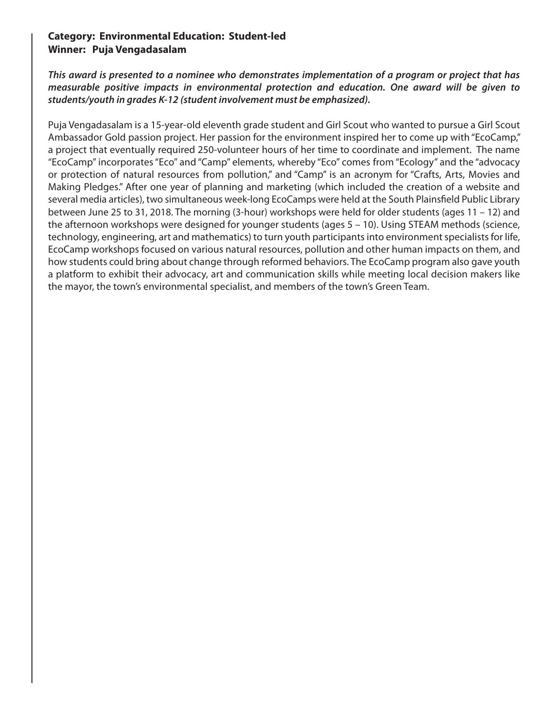#### **Category: Environmental Education: Student-led Winner: Puja Vengadasalam**

*This award is presented to a nominee who demonstrates implementation of a program or project that has measurable positive impacts in environmental protection and education. One award will be given to students/youth in grades K-12 (student involvement must be emphasized).*

Puja Vengadasalam is a 15-year-old eleventh grade student and Girl Scout who wanted to pursue a Girl Scout Ambassador Gold passion project. Her passion for the environment inspired her to come up with "EcoCamp," a project that eventually required 250-volunteer hours of her time to coordinate and implement. The name "EcoCamp" incorporates "Eco" and "Camp" elements, whereby "Eco" comes from "Ecology" and the "advocacy or protection of natural resources from pollution," and "Camp" is an acronym for "Crafts, Arts, Movies and Making Pledges." After one year of planning and marketing (which included the creation of a website and several media articles), two simultaneous week-long EcoCamps were held at the South Plainsfield Public Library between June 25 to 31, 2018. The morning (3-hour) workshops were held for older students (ages 11 – 12) and the afternoon workshops were designed for younger students (ages 5 – 10). Using STEAM methods (science, technology, engineering, art and mathematics) to turn youth participants into environment specialists for life, EcoCamp workshops focused on various natural resources, pollution and other human impacts on them, and how students could bring about change through reformed behaviors. The EcoCamp program also gave youth a platform to exhibit their advocacy, art and communication skills while meeting local decision makers like the mayor, the town's environmental specialist, and members of the town's Green Team.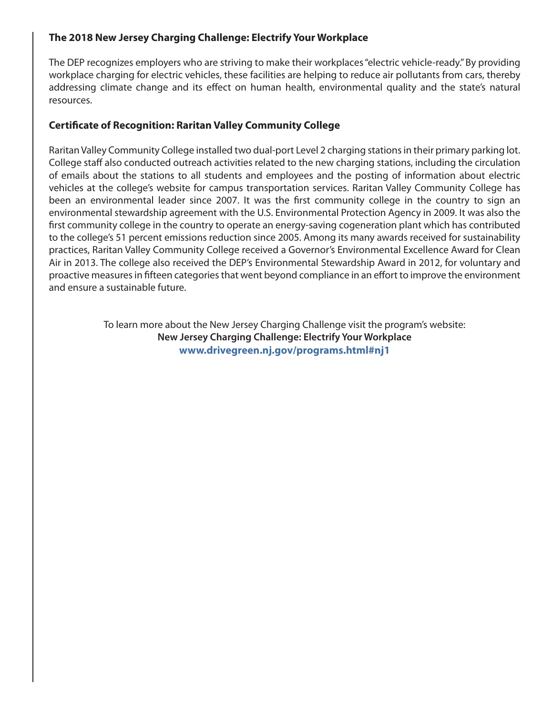#### **The 2018 New Jersey Charging Challenge: Electrify Your Workplace**

The DEP recognizes employers who are striving to make their workplaces "electric vehicle-ready." By providing workplace charging for electric vehicles, these facilities are helping to reduce air pollutants from cars, thereby addressing climate change and its effect on human health, environmental quality and the state's natural resources.

#### **Certificate of Recognition: Raritan Valley Community College**

Raritan Valley Community College installed two dual-port Level 2 charging stations in their primary parking lot. College staff also conducted outreach activities related to the new charging stations, including the circulation of emails about the stations to all students and employees and the posting of information about electric vehicles at the college's website for campus transportation services. Raritan Valley Community College has been an environmental leader since 2007. It was the first community college in the country to sign an environmental stewardship agreement with the U.S. Environmental Protection Agency in 2009. It was also the first community college in the country to operate an energy-saving cogeneration plant which has contributed to the college's 51 percent emissions reduction since 2005. Among its many awards received for sustainability practices, Raritan Valley Community College received a Governor's Environmental Excellence Award for Clean Air in 2013. The college also received the DEP's Environmental Stewardship Award in 2012, for voluntary and proactive measures in fifteen categories that went beyond compliance in an effort to improve the environment and ensure a sustainable future.

> To learn more about the New Jersey Charging Challenge visit the program's website: **New Jersey Charging Challenge: Electrify Your Workplace www.drivegreen.nj.gov/programs.html#nj1**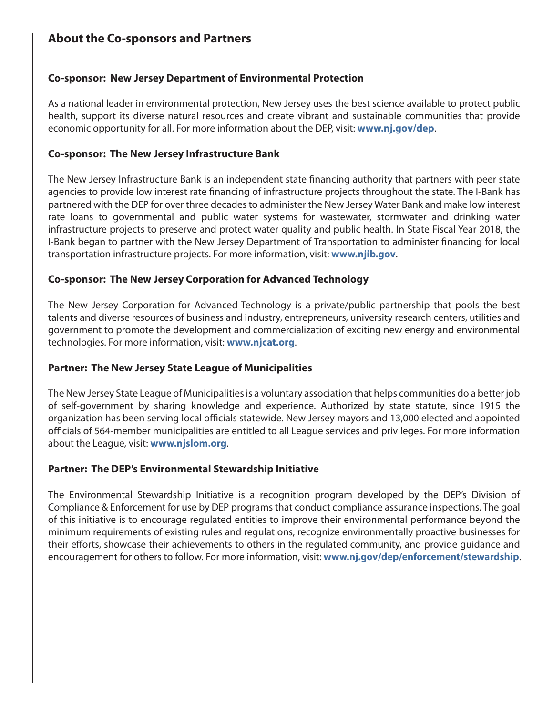# **About the Co-sponsors and Partners**

#### **Co-sponsor: New Jersey Department of Environmental Protection**

As a national leader in environmental protection, New Jersey uses the best science available to protect public health, support its diverse natural resources and create vibrant and sustainable communities that provide economic opportunity for all. For more information about the DEP, visit: **www.nj.gov/dep**.

#### **Co-sponsor: The New Jersey Infrastructure Bank**

The New Jersey Infrastructure Bank is an independent state financing authority that partners with peer state agencies to provide low interest rate financing of infrastructure projects throughout the state. The I-Bank has partnered with the DEP for over three decades to administer the New Jersey Water Bank and make low interest rate loans to governmental and public water systems for wastewater, stormwater and drinking water infrastructure projects to preserve and protect water quality and public health. In State Fiscal Year 2018, the I-Bank began to partner with the New Jersey Department of Transportation to administer financing for local transportation infrastructure projects. For more information, visit: **www.njib.gov**.

#### **Co-sponsor: The New Jersey Corporation for Advanced Technology**

The New Jersey Corporation for Advanced Technology is a private/public partnership that pools the best talents and diverse resources of business and industry, entrepreneurs, university research centers, utilities and government to promote the development and commercialization of exciting new energy and environmental technologies. For more information, visit: **www.njcat.org**.

#### **Partner: The New Jersey State League of Municipalities**

The New Jersey State League of Municipalities is a voluntary association that helps communities do a better job of self-government by sharing knowledge and experience. Authorized by state statute, since 1915 the organization has been serving local officials statewide. New Jersey mayors and 13,000 elected and appointed officials of 564-member municipalities are entitled to all League services and privileges. For more information about the League, visit: **www.njslom.org**.

#### **Partner: The DEP's Environmental Stewardship Initiative**

The Environmental Stewardship Initiative is a recognition program developed by the DEP's Division of Compliance & Enforcement for use by DEP programs that conduct compliance assurance inspections. The goal of this initiative is to encourage regulated entities to improve their environmental performance beyond the minimum requirements of existing rules and regulations, recognize environmentally proactive businesses for their efforts, showcase their achievements to others in the regulated community, and provide guidance and encouragement for others to follow. For more information, visit: **www.nj.gov/dep/enforcement/stewardship**.